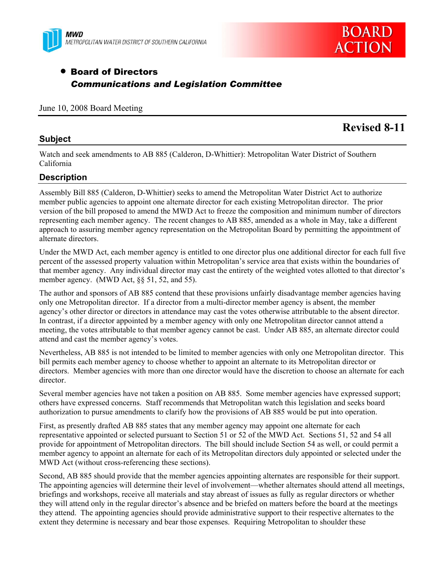



# • Board of Directors *Communications and Legislation Committee*

#### June 10, 2008 Board Meeting

#### **Subject**

# **Revised 8-11**

Watch and seek amendments to AB 885 (Calderon, D-Whittier): Metropolitan Water District of Southern California

#### **Description**

Assembly Bill 885 (Calderon, D-Whittier) seeks to amend the Metropolitan Water District Act to authorize member public agencies to appoint one alternate director for each existing Metropolitan director. The prior version of the bill proposed to amend the MWD Act to freeze the composition and minimum number of directors representing each member agency. The recent changes to AB 885, amended as a whole in May, take a different approach to assuring member agency representation on the Metropolitan Board by permitting the appointment of alternate directors.

Under the MWD Act, each member agency is entitled to one director plus one additional director for each full five percent of the assessed property valuation within Metropolitan's service area that exists within the boundaries of that member agency. Any individual director may cast the entirety of the weighted votes allotted to that director's member agency. (MWD Act, §§ 51, 52, and 55).

The author and sponsors of AB 885 contend that these provisions unfairly disadvantage member agencies having only one Metropolitan director. If a director from a multi-director member agency is absent, the member agency's other director or directors in attendance may cast the votes otherwise attributable to the absent director. In contrast, if a director appointed by a member agency with only one Metropolitan director cannot attend a meeting, the votes attributable to that member agency cannot be cast. Under AB 885, an alternate director could attend and cast the member agency's votes.

Nevertheless, AB 885 is not intended to be limited to member agencies with only one Metropolitan director. This bill permits each member agency to choose whether to appoint an alternate to its Metropolitan director or directors. Member agencies with more than one director would have the discretion to choose an alternate for each director.

Several member agencies have not taken a position on AB 885. Some member agencies have expressed support; others have expressed concerns. Staff recommends that Metropolitan watch this legislation and seeks board authorization to pursue amendments to clarify how the provisions of AB 885 would be put into operation.

First, as presently drafted AB 885 states that any member agency may appoint one alternate for each representative appointed or selected pursuant to Section 51 or 52 of the MWD Act. Sections 51, 52 and 54 all provide for appointment of Metropolitan directors. The bill should include Section 54 as well, or could permit a member agency to appoint an alternate for each of its Metropolitan directors duly appointed or selected under the MWD Act (without cross-referencing these sections).

Second, AB 885 should provide that the member agencies appointing alternates are responsible for their support. The appointing agencies will determine their level of involvement—whether alternates should attend all meetings, briefings and workshops, receive all materials and stay abreast of issues as fully as regular directors or whether they will attend only in the regular director's absence and be briefed on matters before the board at the meetings they attend. The appointing agencies should provide administrative support to their respective alternates to the extent they determine is necessary and bear those expenses. Requiring Metropolitan to shoulder these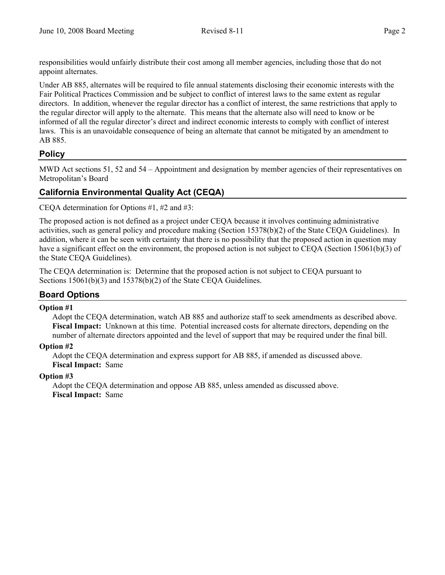responsibilities would unfairly distribute their cost among all member agencies, including those that do not appoint alternates.

Under AB 885, alternates will be required to file annual statements disclosing their economic interests with the Fair Political Practices Commission and be subject to conflict of interest laws to the same extent as regular directors. In addition, whenever the regular director has a conflict of interest, the same restrictions that apply to the regular director will apply to the alternate. This means that the alternate also will need to know or be informed of all the regular director's direct and indirect economic interests to comply with conflict of interest laws. This is an unavoidable consequence of being an alternate that cannot be mitigated by an amendment to AB 885.

# **Policy**

MWD Act sections 51, 52 and 54 – Appointment and designation by member agencies of their representatives on Metropolitan's Board

# **California Environmental Quality Act (CEQA)**

CEQA determination for Options #1, #2 and #3:

The proposed action is not defined as a project under CEQA because it involves continuing administrative activities, such as general policy and procedure making (Section 15378(b)(2) of the State CEQA Guidelines). In addition, where it can be seen with certainty that there is no possibility that the proposed action in question may have a significant effect on the environment, the proposed action is not subject to CEOA (Section 15061(b)(3) of the State CEQA Guidelines).

The CEQA determination is: Determine that the proposed action is not subject to CEQA pursuant to Sections 15061(b)(3) and 15378(b)(2) of the State CEQA Guidelines.

## **Board Options**

### **Option #1**

Adopt the CEQA determination, watch AB 885 and authorize staff to seek amendments as described above. **Fiscal Impact:** Unknown at this time. Potential increased costs for alternate directors, depending on the number of alternate directors appointed and the level of support that may be required under the final bill.

### **Option #2**

Adopt the CEQA determination and express support for AB 885, if amended as discussed above. **Fiscal Impact:** Same

### **Option #3**

Adopt the CEQA determination and oppose AB 885, unless amended as discussed above. **Fiscal Impact:** Same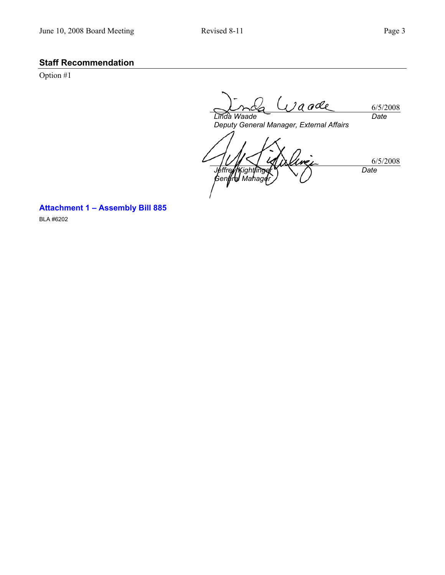## **Staff Recommendation**

Option #1

 $U$ a ade 6/5/2008 *Date Linda Waade* 

*Deputy General Manager, External Affairs* 

6/5/2008 *Jeffrey Kightlinger General Manager Date* 

**Attachment 1 – Assembly Bill 885** 

BLA #6202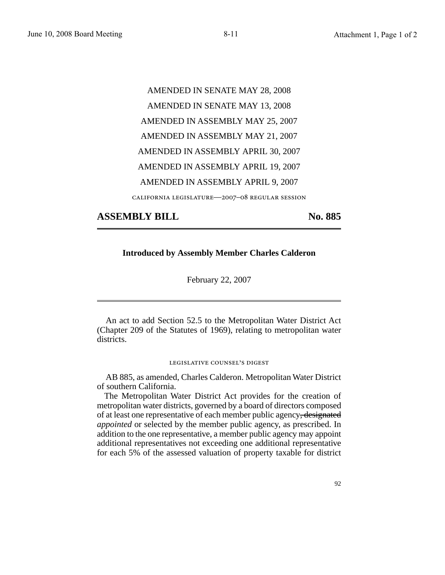AMENDED IN SENATE MAY 28, 2008 AMENDED IN SENATE MAY 13, 2008 AMENDED IN ASSEMBLY MAY 25, 2007 AMENDED IN ASSEMBLY MAY 21, 2007 AMENDED IN ASSEMBLY APRIL 30, 2007 AMENDED IN ASSEMBLY APRIL 19, 2007 AMENDED IN ASSEMBLY APRIL 9, 2007 california legislature—2007–08 regular session

## **ASSEMBLY BILL No. 885**

#### **Introduced by Assembly Member Charles Calderon**

February 22, 2007

An act to add Section 52.5 to the Metropolitan Water District Act (Chapter 209 of the Statutes of 1969), relating to metropolitan water districts.

#### legislative counsel' s digest

AB 885, as amended, Charles Calderon. Metropolitan Water District of southern California.

The Metropolitan Water District Act provides for the creation of metropolitan water districts, governed by a board of directors composed of at least one representative of each member public agency, designated *appointed* or selected by the member public agency, as prescribed. In addition to the one representative, a member public agency may appoint additional representatives not exceeding one additional representative for each 5% of the assessed valuation of property taxable for district